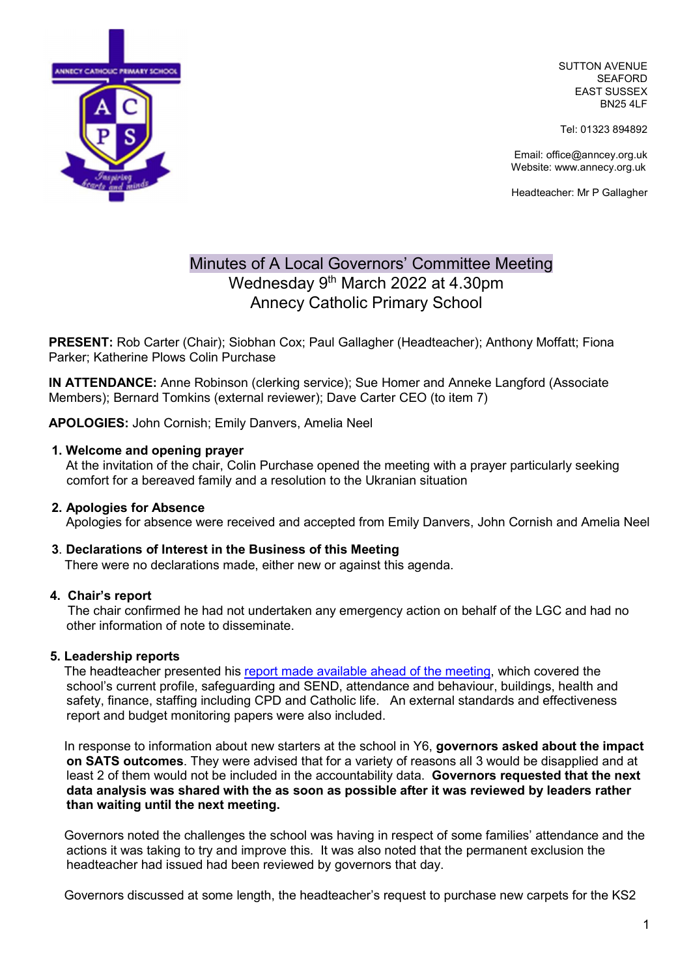

SUTTON AVENUE SEAFORD EAST SUSSEX BN25 4LF

Tel: 01323 894892

Email: office@anncey.org.uk Website: www.annecy.org.uk

Headteacher: Mr P Gallagher

# Minutes of A Local Governors' Committee Meeting Wednesday 9<sup>th</sup> March 2022 at 4.30pm Annecy Catholic Primary School

PRESENT: Rob Carter (Chair); Siobhan Cox; Paul Gallagher (Headteacher); Anthony Moffatt; Fiona Parker; Katherine Plows Colin Purchase

IN ATTENDANCE: Anne Robinson (clerking service); Sue Homer and Anneke Langford (Associate Members); Bernard Tomkins (external reviewer); Dave Carter CEO (to item 7)

APOLOGIES: John Cornish; Emily Danvers, Amelia Neel

## 1. Welcome and opening prayer

 At the invitation of the chair, Colin Purchase opened the meeting with a prayer particularly seeking comfort for a bereaved family and a resolution to the Ukranian situation

## 2. Apologies for Absence

Apologies for absence were received and accepted from Emily Danvers, John Cornish and Amelia Neel

## 3. Declarations of Interest in the Business of this Meeting

There were no declarations made, either new or against this agenda.

## 4. Chair's report

 The chair confirmed he had not undertaken any emergency action on behalf of the LGC and had no other information of note to disseminate.

## 5. Leadership reports

 The headteacher presented his report made available ahead of the meeting, which covered the school's current profile, safeguarding and SEND, attendance and behaviour, buildings, health and safety, finance, staffing including CPD and Catholic life. An external standards and effectiveness report and budget monitoring papers were also included.

In response to information about new starters at the school in Y6, governors asked about the impact on SATS outcomes. They were advised that for a variety of reasons all 3 would be disapplied and at least 2 of them would not be included in the accountability data. Governors requested that the next data analysis was shared with the as soon as possible after it was reviewed by leaders rather than waiting until the next meeting.

 Governors noted the challenges the school was having in respect of some families' attendance and the actions it was taking to try and improve this. It was also noted that the permanent exclusion the headteacher had issued had been reviewed by governors that day.

Governors discussed at some length, the headteacher's request to purchase new carpets for the KS2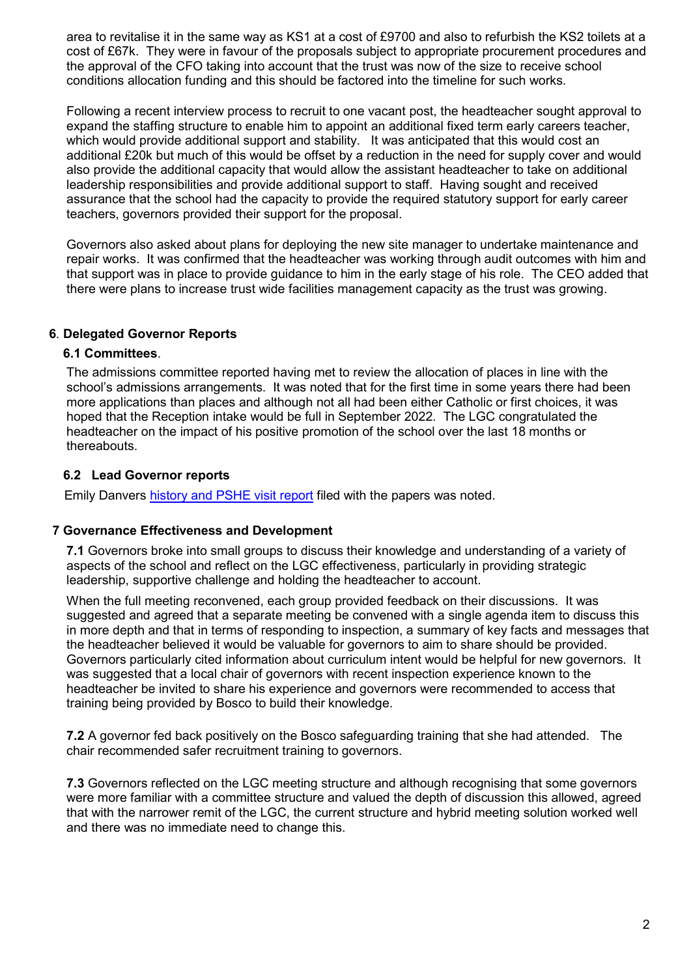area to revitalise it in the same way as KS1 at a cost of £9700 and also to refurbish the KS2 toilets at a cost of £67k. They were in favour of the proposals subject to appropriate procurement procedures and the approval of the CFO taking into account that the trust was now of the size to receive school conditions allocation funding and this should be factored into the timeline for such works.

Following a recent interview process to recruit to one vacant post, the headteacher sought approval to expand the staffing structure to enable him to appoint an additional fixed term early careers teacher, which would provide additional support and stability. It was anticipated that this would cost an additional £20k but much of this would be offset by a reduction in the need for supply cover and would also provide the additional capacity that would allow the assistant headteacher to take on additional leadership responsibilities and provide additional support to staff. Having sought and received assurance that the school had the capacity to provide the required statutory support for early career teachers, governors provided their support for the proposal.

Governors also asked about plans for deploying the new site manager to undertake maintenance and repair works. It was confirmed that the headteacher was working through audit outcomes with him and that support was in place to provide guidance to him in the early stage of his role. The CEO added that there were plans to increase trust wide facilities management capacity as the trust was growing.

## 6. Delegated Governor Reports

## 6.1 Committees.

 The admissions committee reported having met to review the allocation of places in line with the school's admissions arrangements. It was noted that for the first time in some years there had been more applications than places and although not all had been either Catholic or first choices, it was hoped that the Reception intake would be full in September 2022. The LGC congratulated the headteacher on the impact of his positive promotion of the school over the last 18 months or thereabouts.

## 6.2 Lead Governor reports

Emily Danvers history and PSHE visit report filed with the papers was noted.

## 7 Governance Effectiveness and Development

7.1 Governors broke into small groups to discuss their knowledge and understanding of a variety of aspects of the school and reflect on the LGC effectiveness, particularly in providing strategic leadership, supportive challenge and holding the headteacher to account.

When the full meeting reconvened, each group provided feedback on their discussions. It was suggested and agreed that a separate meeting be convened with a single agenda item to discuss this in more depth and that in terms of responding to inspection, a summary of key facts and messages that the headteacher believed it would be valuable for governors to aim to share should be provided. Governors particularly cited information about curriculum intent would be helpful for new governors. It was suggested that a local chair of governors with recent inspection experience known to the headteacher be invited to share his experience and governors were recommended to access that training being provided by Bosco to build their knowledge.

7.2 A governor fed back positively on the Bosco safeguarding training that she had attended. The chair recommended safer recruitment training to governors.

7.3 Governors reflected on the LGC meeting structure and although recognising that some governors were more familiar with a committee structure and valued the depth of discussion this allowed, agreed that with the narrower remit of the LGC, the current structure and hybrid meeting solution worked well and there was no immediate need to change this.